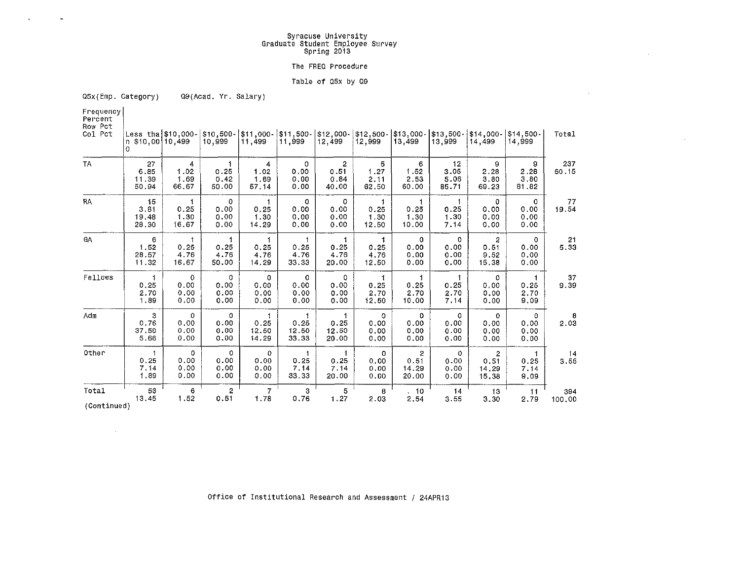# **Syracuse University Graduate Student Employee Survey Spring 2013**

 $\sim$ 

 $\sim$ 

### **The FREQ Procedure**

#### **Table of asx by 09**

**05x(Emp. Category)**  Q9(Acad. Yr. Salary)

**Frequency Percent** 

 $\bar{\nu}$ 

| Row Pct<br>Col Pct | n \$10,00 10,499<br>$\circ$  | Less tha $$10,000-$                   | $$10,500 -$<br>10,999                       | \$11,000<br>11,499                  | 511,500 -<br>11,999             | $$12,000-$<br>12,499       | $$12,500 -$<br>12,999           | \$13,000-<br>13,499                      | $$13,500-$<br>13,999                     | $$14.000 -$<br>14,499               | \$14,500-<br>14,999                | Total         |
|--------------------|------------------------------|---------------------------------------|---------------------------------------------|-------------------------------------|---------------------------------|----------------------------|---------------------------------|------------------------------------------|------------------------------------------|-------------------------------------|------------------------------------|---------------|
| TA                 | 27<br>6.85<br>11.39<br>50.94 | 4<br>1.02<br>1.69<br>66.67            | $\mathbf{1}$<br>0.25<br>0.42<br>50.00       | 4<br>1.02<br>1,69<br>57.14          | $\circ$<br>0.00<br>0.00<br>0.00 | 2<br>0.51<br>0.84<br>40.00 | 5<br>1.27<br>2.11<br>62.50      | 6<br>1.52<br>2.53<br>60.00               | 12 <sup>2</sup><br>3.05<br>5.06<br>85.71 | 9<br>2.28<br>3,80<br>69,23          | 9<br>2.28<br>3,80<br>81.82         | 237<br>60.15  |
| RA                 | 15<br>3.81<br>19.48<br>28,30 | 1<br>0.25<br>1.30<br>16.67            | 0<br>0.00<br>0.00<br>0.00                   | 0.25<br>1.30<br>14.29               | 0<br>0.00<br>0.00<br>0.00       | 0<br>0.00<br>0.00<br>0.00  | 1<br>0.25<br>1.30<br>12.50      | 0.25<br>1.30<br>10.00                    | 1<br>0.25<br>1.30<br>7.14                | 0<br>0.00<br>0.00<br>0.00           | $\Omega$<br>0.00<br>0.00<br>0.00   | 77<br>19.54   |
| GA                 | 6<br>1.52<br>28.57<br>11.32  | $\mathbf{1}$<br>0.25<br>4.76<br>16.67 | $\mathbf{1}$<br>0.25<br>4.76<br>50.00       | 1<br>0.25<br>4.76<br>14.29          | 0.25<br>4.76<br>33.33           | 1<br>0.25<br>4.76<br>20.00 | 1<br>0.25<br>4.76<br>12.50      | 0<br>0.00<br>0.00<br>0.00                | $\Omega$<br>0.00<br>0.00<br>0.00         | 2<br>0.51<br>9.52<br>15.38          | $^{\circ}$<br>0.00<br>0.00<br>0.00 | 21<br>5.33    |
| Fellows            | 0.25<br>2.70<br>1.89         | $\theta$<br>0.00<br>0.00<br>0.00      | $\ddot{\mathbf{0}}$<br>0.00<br>0.00<br>0.00 | 0<br>0.00<br>0.00<br>0.00           | 0<br>0.00<br>0.00<br>0.00       | 0<br>0.00<br>0.00<br>0.00  | 0.25<br>2.70<br>12.50           | 1<br>0.25<br>2.70<br>10.00               | 0.25<br>2.70<br>7.14                     | 0<br>0.00<br>0.00<br>0.00           | 1<br>0.25<br>2.70<br>9.09          | 37<br>9.39    |
| Adm                | 3<br>0.76<br>37.50<br>5.66   | 0<br>0.00<br>0.00<br>0.00             | 0<br>0.00<br>0.00<br>0.00                   | 0.25<br>12.50<br>14.29              | 0.25<br>12.50<br>33.33          | 0.25<br>12.50<br>20.00     | $\circ$<br>0.00<br>0.00<br>0.00 | 0<br>0.00<br>0.00<br>0.00                | 0<br>0.00<br>0.00<br>0.00                | $\mathbf 0$<br>0.00<br>0.00<br>0.00 | 0<br>0.00<br>0.00<br>0.00          | 8<br>2.03     |
| Other              | 0.25<br>7.14<br>1.89         | 0<br>0.00<br>0.00<br>0.00             | 0<br>0.00<br>0.00<br>0.00                   | $\mathbf 0$<br>0.00<br>0.00<br>0.00 | 0.25<br>7.14<br>33.33           | 0.25<br>7.14<br>20.00      | 0<br>0.00<br>0.00<br>0.00       | $\overline{2}$<br>0.51<br>14.29<br>20.00 | $\Omega$<br>0.00<br>0.00<br>0.00         | 2<br>0.51<br>14.29<br>15.38         | 1<br>0.25<br>7.14<br>9 0 9         | 14<br>3.55    |
| Total              | 53<br>13.45                  | 6<br>1.52                             | 2<br>0.51                                   | $\overline{7}$<br>1.78              | 3<br>0.76                       | 5<br>1.27                  | 8<br>2.03                       | 10<br>2.54                               | 14<br>3.55                               | 13<br>3.30                          | 11<br>2.79                         | 394<br>100.00 |

**(Continued)** 

 $\sim 100$ 

**Office of Institutional Research and Assessment / 24APR13**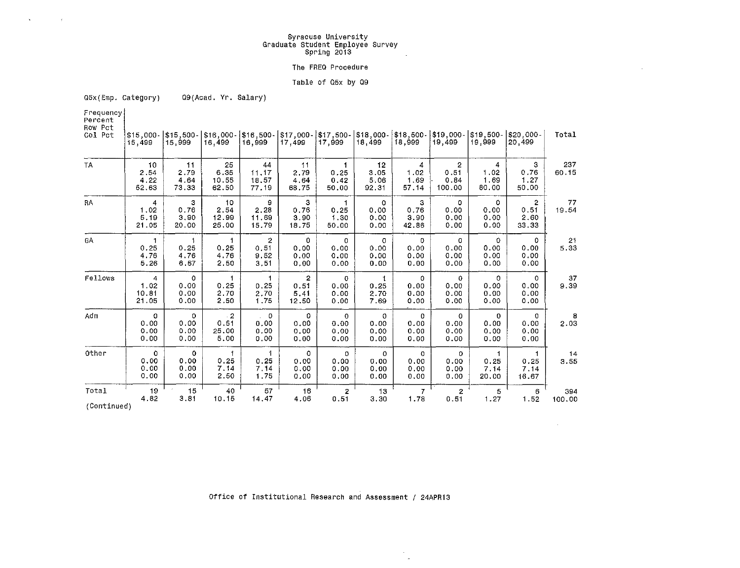# **Syracuse University Graduate Student Employee Survey Spring 2013**

#### **The FREQ Procedure**

### **Table of Q5x by 09**

**Q5x(Emp. Category)**  Q9(Acad. Yr. Salary)

**Frequency Percent** 

 $\tau$ 

 $\sim$ 

**Row Pct** 

| ROW PCT<br>Col Pct | $$15.000 -$<br>15,499       | 15,999                           | \$15,500 -  \$16,000 -  \$16,500 -  <br>16,499 | 16,999                                 | 17,499                                  | 17,999                               | 18,499                          | 18,999                          | \$17,000- \$17,500- \$18,000- \$18,500- \$19,000- \$19,500-<br>19,499 | 19,999                              | $ $20,000-$<br>20,499                   | Total         |
|--------------------|-----------------------------|----------------------------------|------------------------------------------------|----------------------------------------|-----------------------------------------|--------------------------------------|---------------------------------|---------------------------------|-----------------------------------------------------------------------|-------------------------------------|-----------------------------------------|---------------|
| <b>TA</b>          | 10<br>2.54<br>4.22<br>52.63 | 11<br>2.79<br>4.64<br>73.33      | 25<br>6.35<br>10.55<br>62.50                   | 44<br>11.17<br>18,57<br>77.19          | $\ddagger$ 1<br>2.79<br>4.64<br>68.75   | 0.25<br>0.42<br>50,00                | 12<br>3.05<br>5.06<br>92,31     | 4<br>1.02<br>1.69<br>57.14      | $\overline{2}$<br>0.51<br>0.84<br>100.00                              | 4<br>1.02<br>1,69<br>80.00          | 3<br>0.76<br>1.27<br>50.00              | 237<br>60.15  |
| RA                 | 4<br>1.02<br>5.19<br>21.05  | з<br>0.76<br>3.90<br>20.00       | 10<br>2.54<br>12.99<br>25,00                   | 9<br>2.28<br>11.69<br>15.79            | з<br>0.76<br>3.90<br>18.75              | 0.25<br>1.30<br>50.00                | 0<br>0.00<br>0.00<br>0.00       | з<br>0.76<br>3.90<br>42.86      | 0<br>0.00<br>0.00<br>0.00                                             | 0<br>0.00<br>0.00<br>0.00           | $\overline{2}$<br>0.51<br>2.60<br>33.33 | 77<br>19.54   |
| GA                 | 1<br>0.25<br>4.76<br>5.26   | 1<br>0.25<br>4.76<br>6.67        | 1<br>0.25<br>4.76<br>2.50                      | $\overline{2}$<br>0.51<br>9.52<br>3.51 | 0<br>0.00<br>0.00<br>0.00               | $\mathbf{0}$<br>0.00<br>0.00<br>0.00 | $\circ$<br>0.00<br>0.00<br>0.00 | 0<br>0.00<br>0,00<br>0.00       | 0<br>0.00<br>0.00<br>0.00                                             | $\Omega$<br>0.00<br>0.00<br>0.00    | 0<br>0.00<br>0.00<br>0.00               | 21<br>5.33    |
| Fellows            | 4<br>1.02<br>10.81<br>21.05 | $\circ$<br>0.00<br>0.00<br>0.00  | 1<br>0.25<br>2.70<br>2,50                      | 1.<br>0.25<br>2.70<br>1.75             | $\overline{2}$<br>0.51<br>5,41<br>12.50 | $\mathbf{0}$<br>0.00<br>0.00<br>0.00 | 1<br>0.25<br>2.70<br>7.69       | $\circ$<br>0.00<br>0.00<br>0.00 | $\mathbf 0$<br>0.00<br>0.00<br>0.00                                   | $\mathbf 0$<br>0.00<br>0.00<br>0.00 | $\circ$<br>0.00<br>0.00<br>0.00         | 37<br>9.39    |
| Adm                | 0<br>0.00<br>0.00<br>0.00   | 0<br>0.00<br>0.00<br>0.00        | $\cdot$ 2<br>0.51<br>25,00<br>5.00             | $\sim$ 0<br>0.00<br>0.00<br>0.00       | 0<br>0.00<br>0.00<br>0.00               | $\circ$<br>0.00<br>0.00<br>0.00      | 0<br>0.00<br>0.00<br>0.00       | 0<br>0.00<br>0.00<br>0.00       | $\Omega$<br>0.00<br>0.00<br>0.00                                      | 0<br>0.00<br>0.00<br>0.00           | $\mathbf 0$<br>0.00<br>0.00<br>0.00     | 8<br>2.03     |
| Other              | 0<br>0,00<br>0.00<br>0.00   | $\Omega$<br>0.00<br>0.00<br>0.00 | 0.25<br>7.14<br>2.50                           | 0.25<br>7.14<br>1.75                   | 0<br>0.00<br>0.00<br>0.00               | 0<br>0.00<br>0.00<br>0.00            | 0<br>0.00<br>0.00<br>0.00       | 0<br>0.00<br>0.00<br>0.00       | 0<br>0.00<br>0.00<br>0.00                                             | 0.25<br>7.14<br>20.00               | 0.25<br>7.14<br>16.67                   | 14<br>3.55    |
| Total              | 19<br>4.82                  | 15<br>3.81                       | 40<br>10.15                                    | 57<br>14,47                            | 16<br>4.06                              | 2<br>0.51                            | 13<br>3.30                      | 1.78                            | 2<br>0.51                                                             | 5<br>1.27                           | 6<br>1.52                               | 394<br>100.00 |

**(Continued)** 

**Office of Institutional Research and Assessment / 24APA13** 

 $\sim$  $\sim$   $\mathcal{L}_{\mathcal{A}}$